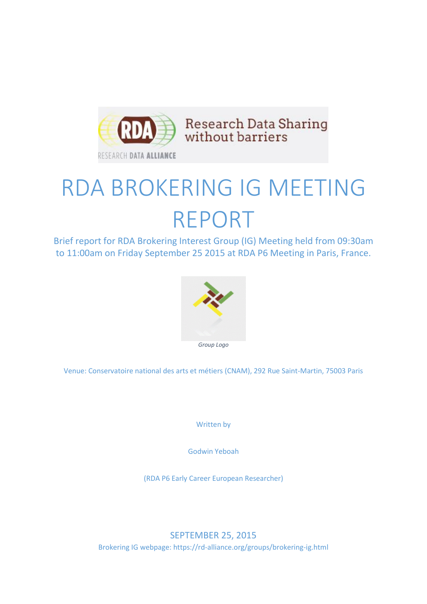

# RDA BROKERING IG MEETING REPORT

Brief report for RDA Brokering Interest Group (IG) Meeting held from 09:30am to 11:00am on Friday September 25 2015 at RDA P6 Meeting in Paris, France.



Venue: Conservatoire national des arts et métiers (CNAM), 292 Rue Saint-Martin, 75003 Paris

Written by

Godwin Yeboah

(RDA P6 Early Career European Researcher)

SEPTEMBER 25, 2015 Brokering IG webpage: https://rd-alliance.org/groups/brokering-ig.html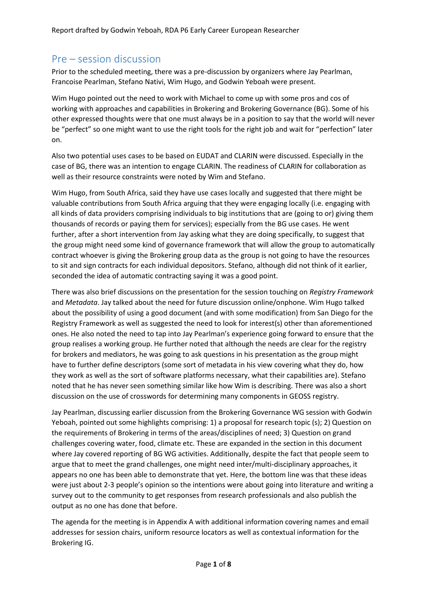# Pre – session discussion

Prior to the scheduled meeting, there was a pre-discussion by organizers where Jay Pearlman, Francoise Pearlman, Stefano Nativi, Wim Hugo, and Godwin Yeboah were present.

Wim Hugo pointed out the need to work with Michael to come up with some pros and cos of working with approaches and capabilities in Brokering and Brokering Governance (BG). Some of his other expressed thoughts were that one must always be in a position to say that the world will never be "perfect" so one might want to use the right tools for the right job and wait for "perfection" later on.

Also two potential uses cases to be based on EUDAT and CLARIN were discussed. Especially in the case of BG, there was an intention to engage CLARIN. The readiness of CLARIN for collaboration as well as their resource constraints were noted by Wim and Stefano.

Wim Hugo, from South Africa, said they have use cases locally and suggested that there might be valuable contributions from South Africa arguing that they were engaging locally (i.e. engaging with all kinds of data providers comprising individuals to big institutions that are (going to or) giving them thousands of records or paying them for services); especially from the BG use cases. He went further, after a short intervention from Jay asking what they are doing specifically, to suggest that the group might need some kind of governance framework that will allow the group to automatically contract whoever is giving the Brokering group data as the group is not going to have the resources to sit and sign contracts for each individual depositors. Stefano, although did not think of it earlier, seconded the idea of automatic contracting saying it was a good point.

There was also brief discussions on the presentation for the session touching on *Registry Framework* and *Metadata*. Jay talked about the need for future discussion online/onphone. Wim Hugo talked about the possibility of using a good document (and with some modification) from San Diego for the Registry Framework as well as suggested the need to look for interest(s) other than aforementioned ones. He also noted the need to tap into Jay Pearlman's experience going forward to ensure that the group realises a working group. He further noted that although the needs are clear for the registry for brokers and mediators, he was going to ask questions in his presentation as the group might have to further define descriptors (some sort of metadata in his view covering what they do, how they work as well as the sort of software platforms necessary, what their capabilities are). Stefano noted that he has never seen something similar like how Wim is describing. There was also a short discussion on the use of crosswords for determining many components in GEOSS registry.

Jay Pearlman, discussing earlier discussion from the Brokering Governance WG session with Godwin Yeboah, pointed out some highlights comprising: 1) a proposal for research topic (s); 2) Question on the requirements of Brokering in terms of the areas/disciplines of need; 3) Question on grand challenges covering water, food, climate etc. These are expanded in the section in this document where Jay covered reporting of BG WG activities. Additionally, despite the fact that people seem to argue that to meet the grand challenges, one might need inter/multi-disciplinary approaches, it appears no one has been able to demonstrate that yet. Here, the bottom line was that these ideas were just about 2-3 people's opinion so the intentions were about going into literature and writing a survey out to the community to get responses from research professionals and also publish the output as no one has done that before.

The agenda for the meeting is in Appendix A with additional information covering names and email addresses for session chairs, uniform resource locators as well as contextual information for the Brokering IG.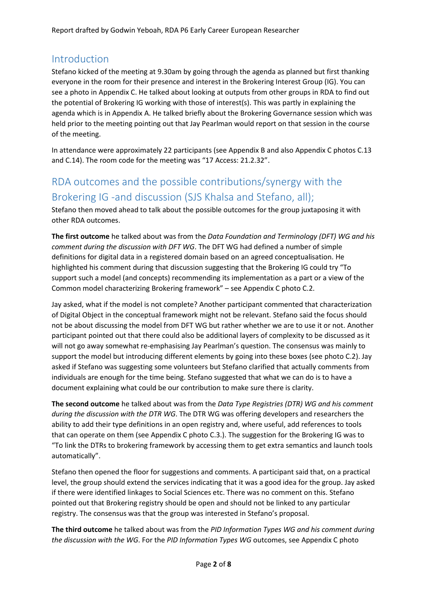# Introduction

Stefano kicked of the meeting at 9.30am by going through the agenda as planned but first thanking everyone in the room for their presence and interest in the Brokering Interest Group (IG). You can see a photo in Appendix C. He talked about looking at outputs from other groups in RDA to find out the potential of Brokering IG working with those of interest(s). This was partly in explaining the agenda which is in Appendix A. He talked briefly about the Brokering Governance session which was held prior to the meeting pointing out that Jay Pearlman would report on that session in the course of the meeting.

In attendance were approximately 22 participants (see Appendix B and also Appendix C photos C.13 and C.14). The room code for the meeting was "17 Access: 21.2.32".

# RDA outcomes and the possible contributions/synergy with the Brokering IG -and discussion (SJS Khalsa and Stefano, all);

Stefano then moved ahead to talk about the possible outcomes for the group juxtaposing it with other RDA outcomes.

**The first outcome** he talked about was from the *Data Foundation and Terminology (DFT) WG and his comment during the discussion with DFT WG*. The DFT WG had defined a number of simple definitions for digital data in a registered domain based on an agreed conceptualisation. He highlighted his comment during that discussion suggesting that the Brokering IG could try "To support such a model (and concepts) recommending its implementation as a part or a view of the Common model characterizing Brokering framework" – see Appendix C photo C.2.

Jay asked, what if the model is not complete? Another participant commented that characterization of Digital Object in the conceptual framework might not be relevant. Stefano said the focus should not be about discussing the model from DFT WG but rather whether we are to use it or not. Another participant pointed out that there could also be additional layers of complexity to be discussed as it will not go away somewhat re-emphasising Jay Pearlman's question. The consensus was mainly to support the model but introducing different elements by going into these boxes (see photo C.2). Jay asked if Stefano was suggesting some volunteers but Stefano clarified that actually comments from individuals are enough for the time being. Stefano suggested that what we can do is to have a document explaining what could be our contribution to make sure there is clarity.

**The second outcome** he talked about was from the *Data Type Registries (DTR) WG and his comment during the discussion with the DTR WG*. The DTR WG was offering developers and researchers the ability to add their type definitions in an open registry and, where useful, add references to tools that can operate on them (see Appendix C photo C.3.). The suggestion for the Brokering IG was to "To link the DTRs to brokering framework by accessing them to get extra semantics and launch tools automatically".

Stefano then opened the floor for suggestions and comments. A participant said that, on a practical level, the group should extend the services indicating that it was a good idea for the group. Jay asked if there were identified linkages to Social Sciences etc. There was no comment on this. Stefano pointed out that Brokering registry should be open and should not be linked to any particular registry. The consensus was that the group was interested in Stefano's proposal.

**The third outcome** he talked about was from the *PID Information Types WG and his comment during the discussion with the WG*. For the *PID Information Types WG* outcomes, see Appendix C photo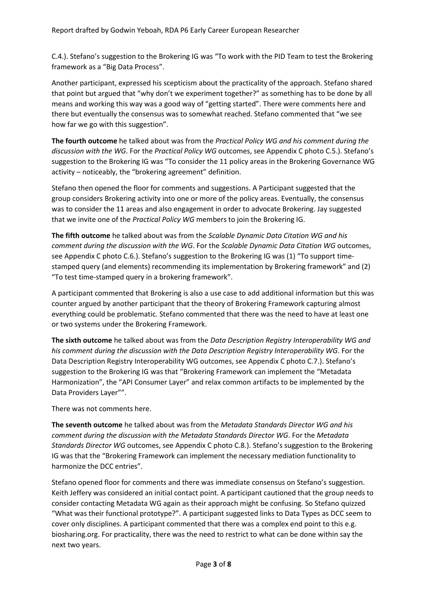C.4.). Stefano's suggestion to the Brokering IG was "To work with the PID Team to test the Brokering framework as a "Big Data Process".

Another participant, expressed his scepticism about the practicality of the approach. Stefano shared that point but argued that "why don't we experiment together?" as something has to be done by all means and working this way was a good way of "getting started". There were comments here and there but eventually the consensus was to somewhat reached. Stefano commented that "we see how far we go with this suggestion".

**The fourth outcome** he talked about was from the *Practical Policy WG and his comment during the discussion with the WG*. For the *Practical Policy WG* outcomes, see Appendix C photo C.5.). Stefano's suggestion to the Brokering IG was "To consider the 11 policy areas in the Brokering Governance WG activity – noticeably, the "brokering agreement" definition.

Stefano then opened the floor for comments and suggestions. A Participant suggested that the group considers Brokering activity into one or more of the policy areas. Eventually, the consensus was to consider the 11 areas and also engagement in order to advocate Brokering. Jay suggested that we invite one of the *Practical Policy WG* members to join the Brokering IG.

**The fifth outcome** he talked about was from the *Scalable Dynamic Data Citation WG and his comment during the discussion with the WG*. For the *Scalable Dynamic Data Citation WG* outcomes, see Appendix C photo C.6.). Stefano's suggestion to the Brokering IG was (1) "To support timestamped query (and elements) recommending its implementation by Brokering framework" and (2) "To test time-stamped query in a brokering framework".

A participant commented that Brokering is also a use case to add additional information but this was counter argued by another participant that the theory of Brokering Framework capturing almost everything could be problematic. Stefano commented that there was the need to have at least one or two systems under the Brokering Framework.

**The sixth outcome** he talked about was from the *Data Description Registry Interoperability WG and his comment during the discussion with the Data Description Registry Interoperability WG*. For the Data Description Registry Interoperability WG outcomes, see Appendix C photo C.7.). Stefano's suggestion to the Brokering IG was that "Brokering Framework can implement the "Metadata Harmonization", the "API Consumer Layer" and relax common artifacts to be implemented by the Data Providers Layer"".

There was not comments here.

**The seventh outcome** he talked about was from the *Metadata Standards Director WG and his comment during the discussion with the Metadata Standards Director WG*. For the *Metadata Standards Director WG* outcomes, see Appendix C photo C.8.). Stefano's suggestion to the Brokering IG was that the "Brokering Framework can implement the necessary mediation functionality to harmonize the DCC entries".

Stefano opened floor for comments and there was immediate consensus on Stefano's suggestion. Keith Jeffery was considered an initial contact point. A participant cautioned that the group needs to consider contacting Metadata WG again as their approach might be confusing. So Stefano quizzed "What was their functional prototype?". A participant suggested links to Data Types as DCC seem to cover only disciplines. A participant commented that there was a complex end point to this e.g. biosharing.org. For practicality, there was the need to restrict to what can be done within say the next two years.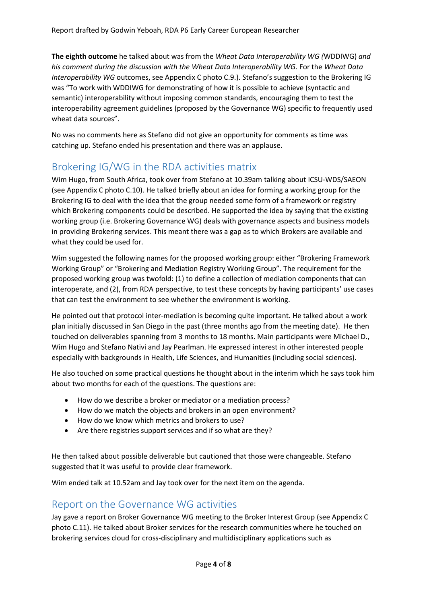**The eighth outcome** he talked about was from the *Wheat Data Interoperability WG (*WDDIWG) *and his comment during the discussion with the Wheat Data Interoperability WG*. For the *Wheat Data Interoperability WG* outcomes, see Appendix C photo C.9.). Stefano's suggestion to the Brokering IG was "To work with WDDIWG for demonstrating of how it is possible to achieve (syntactic and semantic) interoperability without imposing common standards, encouraging them to test the interoperability agreement guidelines (proposed by the Governance WG) specific to frequently used wheat data sources".

No was no comments here as Stefano did not give an opportunity for comments as time was catching up. Stefano ended his presentation and there was an applause.

# Brokering IG/WG in the RDA activities matrix

Wim Hugo, from South Africa, took over from Stefano at 10.39am talking about ICSU-WDS/SAEON (see Appendix C photo C.10). He talked briefly about an idea for forming a working group for the Brokering IG to deal with the idea that the group needed some form of a framework or registry which Brokering components could be described. He supported the idea by saying that the existing working group (i.e. Brokering Governance WG) deals with governance aspects and business models in providing Brokering services. This meant there was a gap as to which Brokers are available and what they could be used for.

Wim suggested the following names for the proposed working group: either "Brokering Framework Working Group" or "Brokering and Mediation Registry Working Group". The requirement for the proposed working group was twofold: (1) to define a collection of mediation components that can interoperate, and (2), from RDA perspective, to test these concepts by having participants' use cases that can test the environment to see whether the environment is working.

He pointed out that protocol inter-mediation is becoming quite important. He talked about a work plan initially discussed in San Diego in the past (three months ago from the meeting date). He then touched on deliverables spanning from 3 months to 18 months. Main participants were Michael D., Wim Hugo and Stefano Nativi and Jay Pearlman. He expressed interest in other interested people especially with backgrounds in Health, Life Sciences, and Humanities (including social sciences).

He also touched on some practical questions he thought about in the interim which he says took him about two months for each of the questions. The questions are:

- How do we describe a broker or mediator or a mediation process?
- How do we match the objects and brokers in an open environment?
- How do we know which metrics and brokers to use?
- Are there registries support services and if so what are they?

He then talked about possible deliverable but cautioned that those were changeable. Stefano suggested that it was useful to provide clear framework.

Wim ended talk at 10.52am and Jay took over for the next item on the agenda.

#### Report on the Governance WG activities

Jay gave a report on Broker Governance WG meeting to the Broker Interest Group (see Appendix C photo C.11). He talked about Broker services for the research communities where he touched on brokering services cloud for cross-disciplinary and multidisciplinary applications such as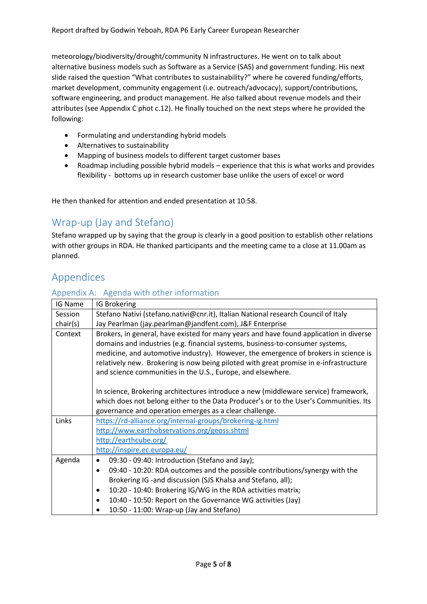meteorology/biodiversity/drought/community N infrastructures. He went on to talk about alternative business models such as Software as a Service (SAS) and government funding. His next slide raised the question "What contributes to sustainability?" where he covered funding/efforts, market development, community engagement (i.e. outreach/advocacy), support/contributions, software engineering, and product management. He also talked about revenue models and their attributes (see Appendix C phot c.12). He finally touched on the next steps where he provided the following:

- Formulating and understanding hybrid models
- Alternatives to sustainability
- Mapping of business models to different target customer bases
- Roadmap including possible hybrid models experience that this is what works and provides flexibility - bottoms up in research customer base unlike the users of excel or word

He then thanked for attention and ended presentation at 10:58.

# Wrap-up (Jay and Stefano)

Stefano wrapped up by saying that the group is clearly in a good position to establish other relations with other groups in RDA. He thanked participants and the meeting came to a close at 11.00am as planned.

# Appendices

#### Appendix A: Agenda with other information

| IG Name  | IG Brokering                                                                                                                                                                                                                                                                                                                                                                                                           |  |  |
|----------|------------------------------------------------------------------------------------------------------------------------------------------------------------------------------------------------------------------------------------------------------------------------------------------------------------------------------------------------------------------------------------------------------------------------|--|--|
| Session  | Stefano Nativi (stefano.nativi@cnr.it), Italian National research Council of Italy                                                                                                                                                                                                                                                                                                                                     |  |  |
| chair(s) | Jay Pearlman (jay.pearlman@jandfent.com), J&F Enterprise                                                                                                                                                                                                                                                                                                                                                               |  |  |
| Context  | Brokers, in general, have existed for many years and have found application in diverse<br>domains and industries (e.g. financial systems, business-to-consumer systems,<br>medicine, and automotive industry). However, the emergence of brokers in science is<br>relatively new. Brokering is now being piloted with great promise in e-infrastructure<br>and science communities in the U.S., Europe, and elsewhere. |  |  |
|          | In science, Brokering architectures introduce a new (middleware service) framework,<br>which does not belong either to the Data Producer's or to the User's Communities. Its<br>governance and operation emerges as a clear challenge.                                                                                                                                                                                 |  |  |
| Links    | https://rd-alliance.org/internal-groups/brokering-ig.html                                                                                                                                                                                                                                                                                                                                                              |  |  |
|          | http://www.earthobservations.org/geoss.shtml                                                                                                                                                                                                                                                                                                                                                                           |  |  |
|          | http://earthcube.org/                                                                                                                                                                                                                                                                                                                                                                                                  |  |  |
|          | http://inspire.ec.europa.eu/                                                                                                                                                                                                                                                                                                                                                                                           |  |  |
| Agenda   | 09:30 - 09:40: Introduction (Stefano and Jay);                                                                                                                                                                                                                                                                                                                                                                         |  |  |
|          | 09:40 - 10:20: RDA outcomes and the possible contributions/synergy with the<br>$\bullet$                                                                                                                                                                                                                                                                                                                               |  |  |
|          | Brokering IG -and discussion (SJS Khalsa and Stefano, all);                                                                                                                                                                                                                                                                                                                                                            |  |  |
|          | 10:20 - 10:40: Brokering IG/WG in the RDA activities matrix;<br>$\bullet$                                                                                                                                                                                                                                                                                                                                              |  |  |
|          | 10:40 - 10:50: Report on the Governance WG activities (Jay)<br>$\bullet$                                                                                                                                                                                                                                                                                                                                               |  |  |
|          | 10:50 - 11:00: Wrap-up (Jay and Stefano)                                                                                                                                                                                                                                                                                                                                                                               |  |  |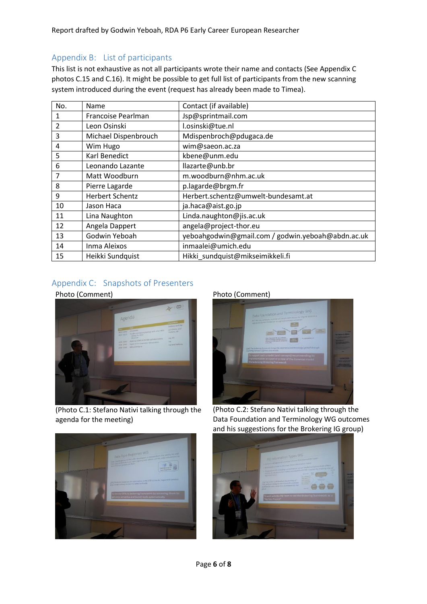Report drafted by Godwin Yeboah, RDA P6 Early Career European Researcher

#### Appendix B: List of participants

This list is not exhaustive as not all participants wrote their name and contacts (See Appendix C photos C.15 and C.16). It might be possible to get full list of participants from the new scanning system introduced during the event (request has already been made to Timea).

| No.            | Name                   | Contact (if available)                            |  |
|----------------|------------------------|---------------------------------------------------|--|
| 1              | Francoise Pearlman     | Jsp@sprintmail.com                                |  |
| $\overline{2}$ | Leon Osinski           | l.osinski@tue.nl                                  |  |
| 3              | Michael Dispenbrouch   | Mdispenbroch@pdugaca.de                           |  |
| 4              | Wim Hugo               | wim@saeon.ac.za                                   |  |
| 5              | Karl Benedict          | kbene@unm.edu                                     |  |
| 6              | Leonando Lazante       | llazarte@unb.br                                   |  |
| 7              | Matt Woodburn          | m.woodburn@nhm.ac.uk                              |  |
| 8              | Pierre Lagarde         | p.lagarde@brgm.fr                                 |  |
| 9              | <b>Herbert Schentz</b> | Herbert.schentz@umwelt-bundesamt.at               |  |
| 10             | Jason Haca             | ja.haca@aist.go.jp                                |  |
| 11             | Lina Naughton          | Linda.naughton@jis.ac.uk                          |  |
| 12             | Angela Dappert         | angela@project-thor.eu                            |  |
| 13             | Godwin Yeboah          | yeboahgodwin@gmail.com / godwin.yeboah@abdn.ac.uk |  |
| 14             | Inma Aleixos           | inmaalei@umich.edu                                |  |
| 15             | Heikki Sundquist       | Hikki sundquist@mikseimikkeli.fi                  |  |

### Appendix C: Snapshots of Presenters





(Photo C.1: Stefano Nativi talking through the agenda for the meeting)





(Photo C.2: Stefano Nativi talking through the Data Foundation and Terminology WG outcomes and his suggestions for the Brokering IG group)



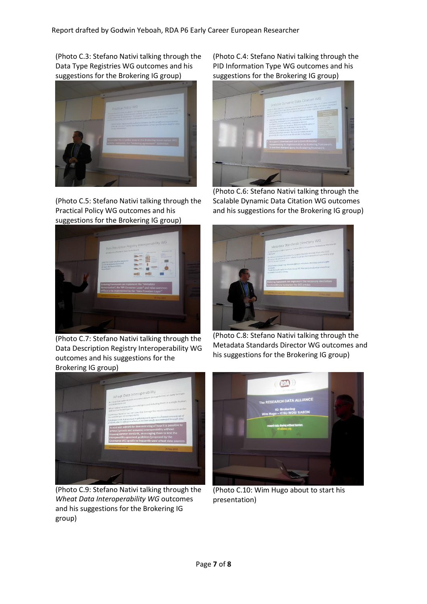(Photo C.3: Stefano Nativi talking through the Data Type Registries WG outcomes and his suggestions for the Brokering IG group)



(Photo C.5: Stefano Nativi talking through the Practical Policy WG outcomes and his suggestions for the Brokering IG group)



(Photo C.7: Stefano Nativi talking through the Data Description Registry Interoperability WG outcomes and his suggestions for the Brokering IG group)





(Photo C.6: Stefano Nativi talking through the Scalable Dynamic Data Citation WG outcomes and his suggestions for the Brokering IG group)



(Photo C.8: Stefano Nativi talking through the Metadata Standards Director WG outcomes and his suggestions for the Brokering IG group)



(Photo C.9: Stefano Nativi talking through the *Wheat Data Interoperability WG* outcomes and his suggestions for the Brokering IG group)



(Photo C.10: Wim Hugo about to start his presentation)